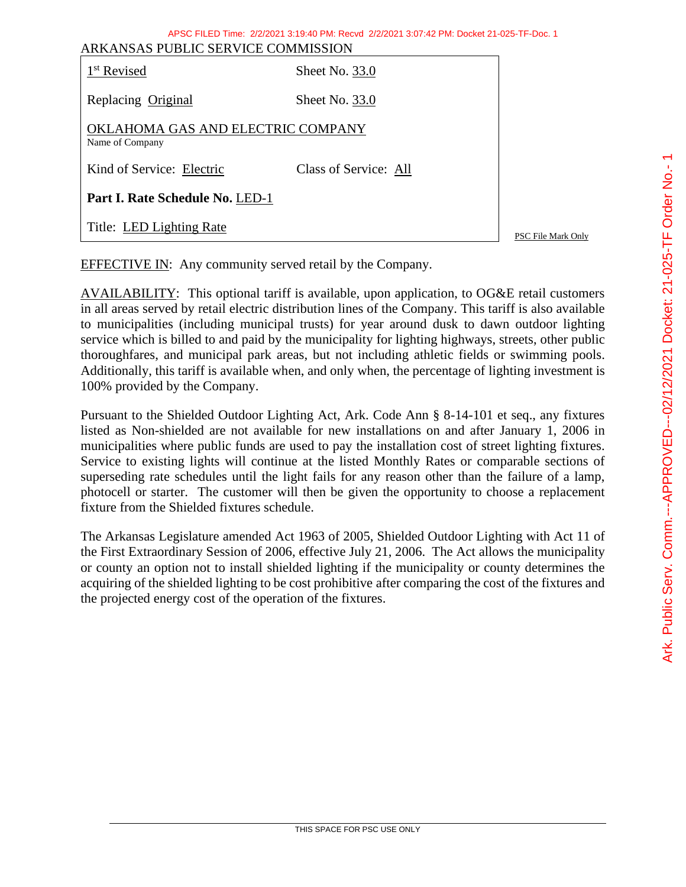| APSC FILED Time: 2/2/2021 3:19:40 PM: Recyd 2/2/2021 3:07:42 PM: Docket 21-025-TF-Doc. 1<br>ARKANSAS PUBLIC SERVICE COMMISSION |                       |                    |  |  |
|--------------------------------------------------------------------------------------------------------------------------------|-----------------------|--------------------|--|--|
| 1 <sup>st</sup> Revised                                                                                                        | Sheet No. 33.0        |                    |  |  |
| Replacing Original                                                                                                             | Sheet No. $33.0$      |                    |  |  |
| OKLAHOMA GAS AND ELECTRIC COMPANY<br>Name of Company                                                                           |                       |                    |  |  |
| Kind of Service: Electric                                                                                                      | Class of Service: All |                    |  |  |
| Part I. Rate Schedule No. LED-1                                                                                                |                       |                    |  |  |
| Title: LED Lighting Rate                                                                                                       |                       | PSC File Mark Only |  |  |
|                                                                                                                                |                       |                    |  |  |

EFFECTIVE IN: Any community served retail by the Company.

AVAILABILITY: This optional tariff is available, upon application, to OG&E retail customers in all areas served by retail electric distribution lines of the Company. This tariff is also available to municipalities (including municipal trusts) for year around dusk to dawn outdoor lighting service which is billed to and paid by the municipality for lighting highways, streets, other public thoroughfares, and municipal park areas, but not including athletic fields or swimming pools. Additionally, this tariff is available when, and only when, the percentage of lighting investment is 100% provided by the Company.

Pursuant to the Shielded Outdoor Lighting Act, Ark. Code Ann § 8-14-101 et seq., any fixtures listed as Non-shielded are not available for new installations on and after January 1, 2006 in municipalities where public funds are used to pay the installation cost of street lighting fixtures. Service to existing lights will continue at the listed Monthly Rates or comparable sections of superseding rate schedules until the light fails for any reason other than the failure of a lamp, photocell or starter. The customer will then be given the opportunity to choose a replacement fixture from the Shielded fixtures schedule.

The Arkansas Legislature amended Act 1963 of 2005, Shielded Outdoor Lighting with Act 11 of the First Extraordinary Session of 2006, effective July 21, 2006. The Act allows the municipality or county an option not to install shielded lighting if the municipality or county determines the acquiring of the shielded lighting to be cost prohibitive after comparing the cost of the fixtures and the projected energy cost of the operation of the fixtures.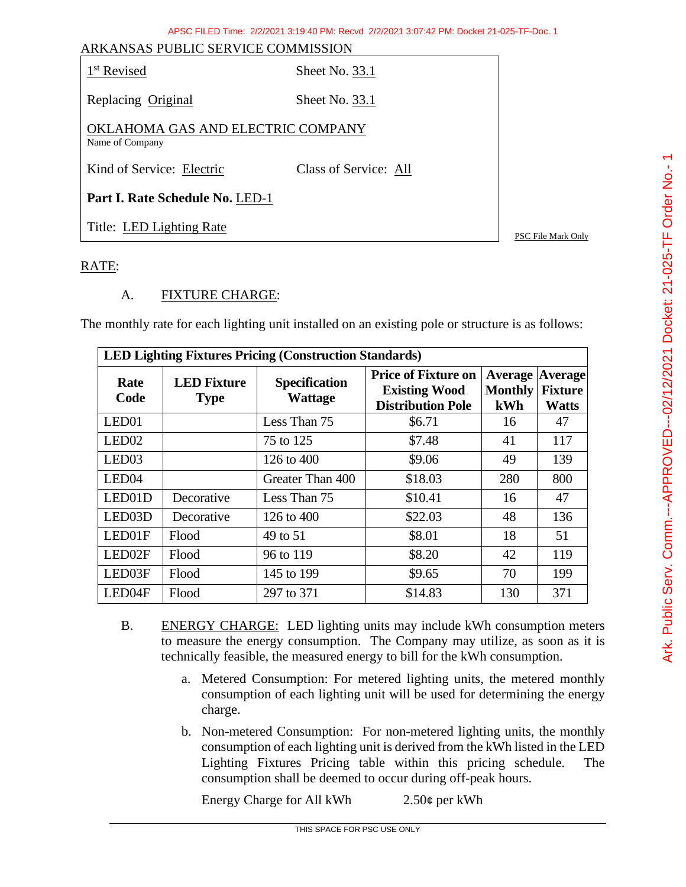| ARKANSAS PUBLIC SERVICE COMMISSION                   |                       |                           |  |  |
|------------------------------------------------------|-----------------------|---------------------------|--|--|
| 1 <sup>st</sup> Revised                              | Sheet No. 33.1        |                           |  |  |
| Replacing Original                                   | Sheet No. $33.1$      |                           |  |  |
| OKLAHOMA GAS AND ELECTRIC COMPANY<br>Name of Company |                       |                           |  |  |
| Kind of Service: Electric                            | Class of Service: All |                           |  |  |
| Part I. Rate Schedule No. LED-1                      |                       |                           |  |  |
| Title: LED Lighting Rate                             |                       | <b>PSC File Mark Only</b> |  |  |

### RATE:

### A. FIXTURE CHARGE:

The monthly rate for each lighting unit installed on an existing pole or structure is as follows:

| <b>LED Lighting Fixtures Pricing (Construction Standards)</b> |                                   |                                        |                                                                                |                                                 |                                |
|---------------------------------------------------------------|-----------------------------------|----------------------------------------|--------------------------------------------------------------------------------|-------------------------------------------------|--------------------------------|
| Rate<br>Code                                                  | <b>LED Fixture</b><br><b>Type</b> | <b>Specification</b><br><b>Wattage</b> | <b>Price of Fixture on</b><br><b>Existing Wood</b><br><b>Distribution Pole</b> | <b>Average Average</b><br><b>Monthly</b><br>kWh | <b>Fixture</b><br><b>Watts</b> |
| LED <sub>01</sub>                                             |                                   | Less Than 75                           | \$6.71                                                                         | 16                                              | 47                             |
| LED <sub>02</sub>                                             |                                   | 75 to 125                              | \$7.48                                                                         | 41                                              | 117                            |
| LED <sub>03</sub>                                             |                                   | 126 to 400                             | \$9.06                                                                         | 49                                              | 139                            |
| LED <sub>04</sub>                                             |                                   | Greater Than 400                       | \$18.03                                                                        | 280                                             | 800                            |
| LED01D                                                        | Decorative                        | Less Than 75                           | \$10.41                                                                        | 16                                              | 47                             |
| LED <sub>03</sub> D                                           | Decorative                        | 126 to 400                             | \$22.03                                                                        | 48                                              | 136                            |
| LED01F                                                        | Flood                             | 49 to 51                               | \$8.01                                                                         | 18                                              | 51                             |
| LED02F                                                        | Flood                             | 96 to 119                              | \$8.20                                                                         | 42                                              | 119                            |
| LED03F                                                        | Flood                             | 145 to 199                             | \$9.65                                                                         | 70                                              | 199                            |
| LED04F                                                        | Flood                             | 297 to 371                             | \$14.83                                                                        | 130                                             | 371                            |

- B. ENERGY CHARGE: LED lighting units may include kWh consumption meters to measure the energy consumption. The Company may utilize, as soon as it is technically feasible, the measured energy to bill for the kWh consumption.
	- a. Metered Consumption: For metered lighting units, the metered monthly consumption of each lighting unit will be used for determining the energy charge.
	- b. Non-metered Consumption: For non-metered lighting units, the monthly consumption of each lighting unit is derived from the kWh listed in the LED Lighting Fixtures Pricing table within this pricing schedule. The consumption shall be deemed to occur during off-peak hours.

Energy Charge for All kWh 2.50¢ per kWh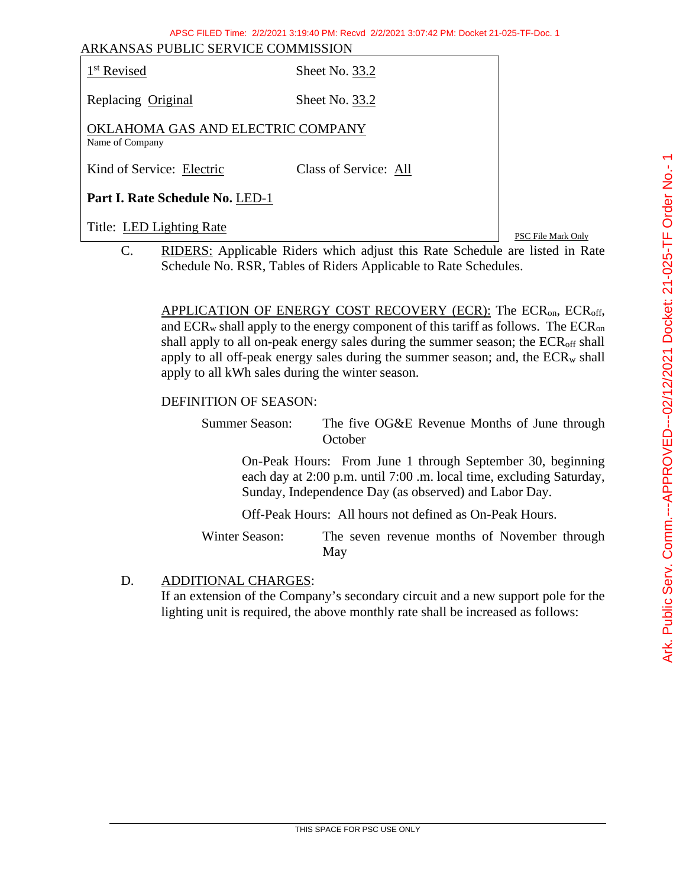| ANNAINSAS FUDLIU SEN VIUE COMMISSION<br>1 <sup>st</sup> Revised | Sheet No. 33.2        |
|-----------------------------------------------------------------|-----------------------|
| Replacing Original                                              | Sheet No. 33.2        |
| OKLAHOMA GAS AND ELECTRIC COMPANY<br>Name of Company            |                       |
| Kind of Service: Electric                                       | Class of Service: All |
| Part I. Rate Schedule No. LED-1                                 |                       |

Title: LED Lighting Rate PSC File Mark Only C. RIDERS: Applicable Riders which adjust this Rate Schedule are listed in Rate Schedule No. RSR, Tables of Riders Applicable to Rate Schedules.

> APPLICATION OF ENERGY COST RECOVERY (ECR): The  $ECR_{on}$ ,  $ECR_{off}$ , and  $ECR_w$  shall apply to the energy component of this tariff as follows. The  $ECR_{on}$ shall apply to all on-peak energy sales during the summer season; the  $ECR<sub>off</sub>$  shall apply to all off-peak energy sales during the summer season; and, the  $ECR_w$  shall apply to all kWh sales during the winter season.

#### DEFINITION OF SEASON:

Summer Season: The five OG&E Revenue Months of June through **October** 

On-Peak Hours: From June 1 through September 30, beginning each day at 2:00 p.m. until 7:00 .m. local time, excluding Saturday, Sunday, Independence Day (as observed) and Labor Day.

Off-Peak Hours: All hours not defined as On-Peak Hours.

Winter Season: The seven revenue months of November through May

D. ADDITIONAL CHARGES:

If an extension of the Company's secondary circuit and a new support pole for the lighting unit is required, the above monthly rate shall be increased as follows: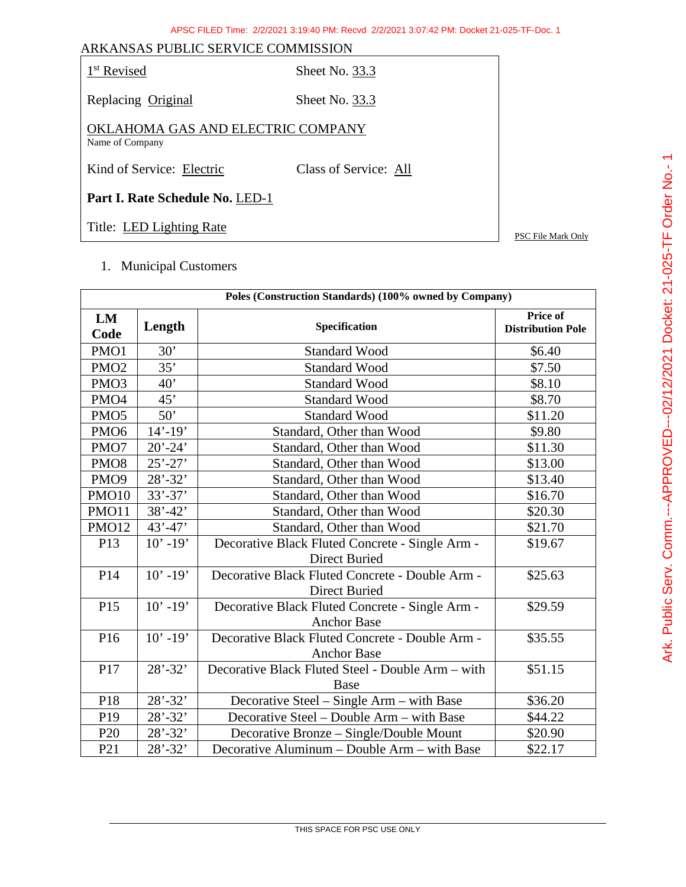| ARKANSAS PUBLIC SERVICE COMMISSION                   |                       |                    |
|------------------------------------------------------|-----------------------|--------------------|
| 1 <sup>st</sup> Revised                              | Sheet No. 33.3        |                    |
| Replacing Original                                   | Sheet No. 33.3        |                    |
| OKLAHOMA GAS AND ELECTRIC COMPANY<br>Name of Company |                       |                    |
| Kind of Service: Electric                            | Class of Service: All |                    |
| Part I. Rate Schedule No. LED-1                      |                       |                    |
| Title: LED Lighting Rate                             |                       | PSC File Mark Only |

1. Municipal Customers

| Poles (Construction Standards) (100% owned by Company) |             |                                                   |                                      |
|--------------------------------------------------------|-------------|---------------------------------------------------|--------------------------------------|
| LM<br>Code                                             | Length      | Specification                                     | Price of<br><b>Distribution Pole</b> |
| PMO1                                                   | 30'         | <b>Standard Wood</b>                              | \$6.40                               |
| PMO <sub>2</sub>                                       | 35'         | <b>Standard Wood</b>                              | \$7.50                               |
| PMO <sub>3</sub>                                       | 40'         | <b>Standard Wood</b>                              | \$8.10                               |
| PMO <sub>4</sub>                                       | 45'         | <b>Standard Wood</b>                              | \$8.70                               |
| PMO <sub>5</sub>                                       | 50'         | <b>Standard Wood</b>                              | \$11.20                              |
| PMO <sub>6</sub>                                       | $14' - 19'$ | Standard, Other than Wood                         | \$9.80                               |
| PMO7                                                   | $20' - 24'$ | Standard, Other than Wood                         | \$11.30                              |
| PMO <sub>8</sub>                                       | $25' - 27'$ | Standard, Other than Wood                         | \$13.00                              |
| PMO <sub>9</sub>                                       | $28' - 32'$ | Standard, Other than Wood                         | \$13.40                              |
| PMO10                                                  | $33' - 37'$ | Standard, Other than Wood                         | \$16.70                              |
| PMO11                                                  | $38' - 42'$ | Standard, Other than Wood                         | \$20.30                              |
| PMO12                                                  | $43' - 47'$ | Standard, Other than Wood                         | \$21.70                              |
| P13                                                    | $10' - 19'$ | Decorative Black Fluted Concrete - Single Arm -   | \$19.67                              |
|                                                        |             | <b>Direct Buried</b>                              |                                      |
| P14                                                    | $10' - 19'$ | Decorative Black Fluted Concrete - Double Arm -   | \$25.63                              |
|                                                        |             | <b>Direct Buried</b>                              |                                      |
| P15                                                    | $10' - 19'$ | Decorative Black Fluted Concrete - Single Arm -   | \$29.59                              |
|                                                        |             | <b>Anchor Base</b>                                |                                      |
| P16                                                    | $10' - 19'$ | Decorative Black Fluted Concrete - Double Arm -   | \$35.55                              |
|                                                        |             | <b>Anchor Base</b>                                |                                      |
| P17                                                    | $28' - 32'$ | Decorative Black Fluted Steel - Double Arm – with | \$51.15                              |
|                                                        |             | <b>Base</b>                                       |                                      |
| P18                                                    | $28' - 32'$ | Decorative Steel – Single Arm – with Base         | \$36.20                              |
| P <sub>19</sub>                                        | $28' - 32'$ | Decorative Steel – Double Arm – with Base         | \$44.22                              |
| P <sub>20</sub>                                        | $28' - 32'$ | Decorative Bronze – Single/Double Mount           | \$20.90                              |
| P <sub>21</sub>                                        | $28' - 32'$ | Decorative Aluminum - Double Arm - with Base      | \$22.17                              |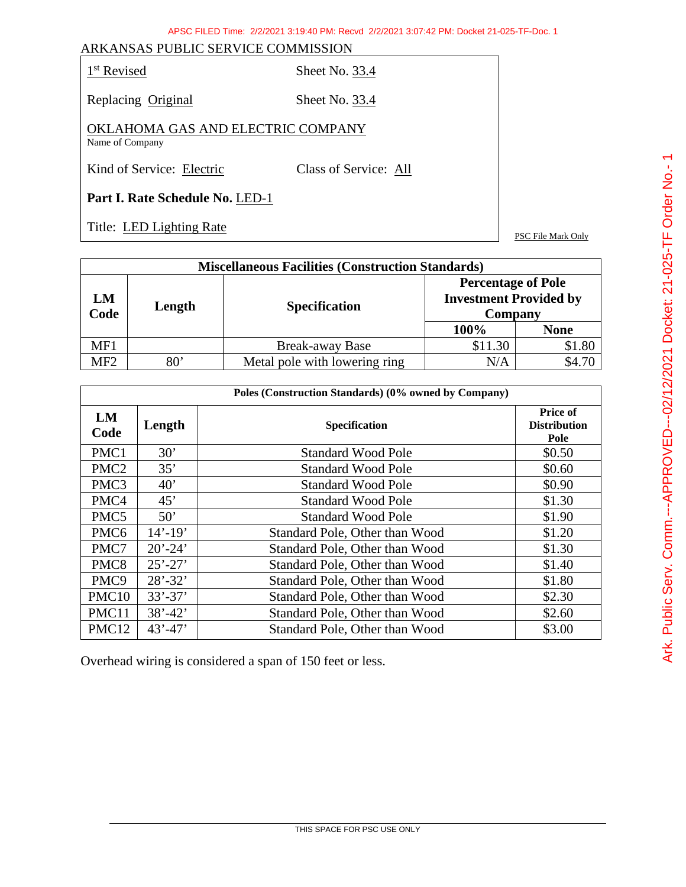| k evised |
|----------|
|----------|

Sheet No. 33.4

Replacing Original Sheet No. 33.4

OKLAHOMA GAS AND ELECTRIC COMPANY Name of Company

Kind of Service: Electric Class of Service: All

**Part I. Rate Schedule No.** LED-1

Title: LED Lighting Rate PSC File Mark Only

| <b>Miscellaneous Facilities (Construction Standards)</b> |              |                               |                                                                       |             |
|----------------------------------------------------------|--------------|-------------------------------|-----------------------------------------------------------------------|-------------|
| LM<br>Code                                               | Length       | <b>Specification</b>          | <b>Percentage of Pole</b><br><b>Investment Provided by</b><br>Company |             |
|                                                          |              |                               | 100%                                                                  | <b>None</b> |
| MF1                                                      |              | <b>Break-away Base</b>        | \$11.30                                                               | \$1.80      |
| MF <sub>2</sub>                                          | $80^{\circ}$ | Metal pole with lowering ring | N/A                                                                   | \$4.70      |

| Poles (Construction Standards) (0% owned by Company) |             |                                |                                         |
|------------------------------------------------------|-------------|--------------------------------|-----------------------------------------|
| LM<br>Code                                           | Length      | <b>Specification</b>           | Price of<br><b>Distribution</b><br>Pole |
| PMC1                                                 | 30'         | <b>Standard Wood Pole</b>      | \$0.50                                  |
| PMC <sub>2</sub>                                     | 35'         | <b>Standard Wood Pole</b>      | \$0.60                                  |
| PMC <sub>3</sub>                                     | 40'         | <b>Standard Wood Pole</b>      | \$0.90                                  |
| PMC4                                                 | 45'         | <b>Standard Wood Pole</b>      | \$1.30                                  |
| PMC <sub>5</sub>                                     | 50'         | <b>Standard Wood Pole</b>      | \$1.90                                  |
| PMC <sub>6</sub>                                     | $14' - 19'$ | Standard Pole, Other than Wood | \$1.20                                  |
| PMC7                                                 | $20' - 24'$ | Standard Pole, Other than Wood | \$1.30                                  |
| PMC <sub>8</sub>                                     | $25' - 27'$ | Standard Pole, Other than Wood | \$1.40                                  |
| PMC <sub>9</sub>                                     | $28' - 32'$ | Standard Pole, Other than Wood | \$1.80                                  |
| PMC <sub>10</sub>                                    | $33' - 37'$ | Standard Pole, Other than Wood | \$2.30                                  |
| PMC11                                                | $38' - 42'$ | Standard Pole, Other than Wood | \$2.60                                  |
| PMC12                                                | $43' - 47'$ | Standard Pole, Other than Wood | \$3.00                                  |

Overhead wiring is considered a span of 150 feet or less.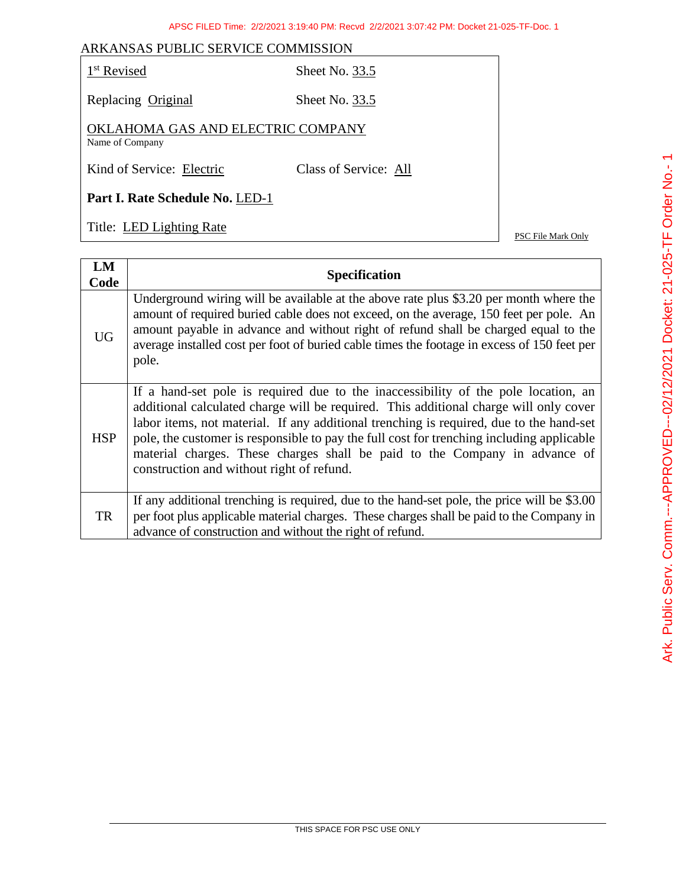| 1 <sup>st</sup> Revised                              | Sheet No. 33.5        |
|------------------------------------------------------|-----------------------|
| Replacing Original                                   | Sheet No. 33.5        |
| OKLAHOMA GAS AND ELECTRIC COMPANY<br>Name of Company |                       |
| Kind of Service: Electric                            | Class of Service: All |
| Part I. Rate Schedule No. LED-1                      |                       |

Title: LED Lighting Rate PSC File Mark Only

| LM<br>Code | <b>Specification</b>                                                                                                                                                                                                                                                                                                                                                                                                                                                                           |
|------------|------------------------------------------------------------------------------------------------------------------------------------------------------------------------------------------------------------------------------------------------------------------------------------------------------------------------------------------------------------------------------------------------------------------------------------------------------------------------------------------------|
| <b>UG</b>  | Underground wiring will be available at the above rate plus \$3.20 per month where the<br>amount of required buried cable does not exceed, on the average, 150 feet per pole. An<br>amount payable in advance and without right of refund shall be charged equal to the<br>average installed cost per foot of buried cable times the footage in excess of 150 feet per<br>pole.                                                                                                                |
| <b>HSP</b> | If a hand-set pole is required due to the inaccessibility of the pole location, an<br>additional calculated charge will be required. This additional charge will only cover<br>labor items, not material. If any additional trenching is required, due to the hand-set<br>pole, the customer is responsible to pay the full cost for trenching including applicable<br>material charges. These charges shall be paid to the Company in advance of<br>construction and without right of refund. |
| TR         | If any additional trenching is required, due to the hand-set pole, the price will be \$3.00<br>per foot plus applicable material charges. These charges shall be paid to the Company in<br>advance of construction and without the right of refund.                                                                                                                                                                                                                                            |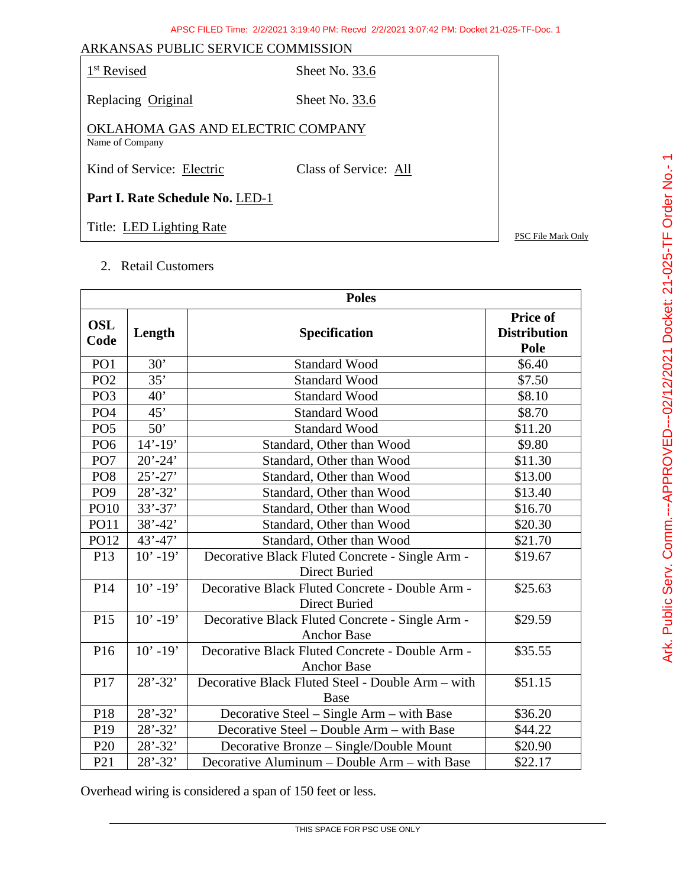| ARKANSAS PUBLIC SERVICE COMMISSION                   |                       |                    |
|------------------------------------------------------|-----------------------|--------------------|
| 1 <sup>st</sup> Revised                              | Sheet No. 33.6        |                    |
| Replacing Original                                   | Sheet No. 33.6        |                    |
| OKLAHOMA GAS AND ELECTRIC COMPANY<br>Name of Company |                       |                    |
| Kind of Service: Electric                            | Class of Service: All |                    |
| Part I. Rate Schedule No. LED-1                      |                       |                    |
| Title: LED Lighting Rate                             |                       | PSC File Mark Only |

2. Retail Customers

| <b>Poles</b>       |             |                                                                         |                                         |  |
|--------------------|-------------|-------------------------------------------------------------------------|-----------------------------------------|--|
| <b>OSL</b><br>Code | Length      | <b>Specification</b>                                                    | Price of<br><b>Distribution</b><br>Pole |  |
| PO <sub>1</sub>    | 30'         | <b>Standard Wood</b>                                                    | \$6.40                                  |  |
| PO <sub>2</sub>    | 35'         | <b>Standard Wood</b>                                                    | \$7.50                                  |  |
| PO <sub>3</sub>    | 40'         | <b>Standard Wood</b>                                                    | \$8.10                                  |  |
| PO <sub>4</sub>    | 45'         | <b>Standard Wood</b>                                                    | \$8.70                                  |  |
| PO <sub>5</sub>    | 50'         | <b>Standard Wood</b>                                                    | \$11.20                                 |  |
| PO <sub>6</sub>    | $14' - 19'$ | Standard, Other than Wood                                               | \$9.80                                  |  |
| PO <sub>7</sub>    | $20' - 24'$ | Standard, Other than Wood                                               | \$11.30                                 |  |
| PO <sub>8</sub>    | $25' - 27'$ | Standard, Other than Wood                                               | \$13.00                                 |  |
| PO <sub>9</sub>    | $28' - 32'$ | Standard, Other than Wood                                               | \$13.40                                 |  |
| <b>PO10</b>        | $33' - 37'$ | Standard, Other than Wood                                               | \$16.70                                 |  |
| <b>PO11</b>        | $38' - 42'$ | Standard, Other than Wood                                               | \$20.30                                 |  |
| PO12               | $43' - 47'$ | Standard, Other than Wood                                               | \$21.70                                 |  |
| P13                | $10' - 19'$ | Decorative Black Fluted Concrete - Single Arm -<br><b>Direct Buried</b> | \$19.67                                 |  |
| P14                | $10' - 19'$ | Decorative Black Fluted Concrete - Double Arm -<br>Direct Buried        | \$25.63                                 |  |
| P15                | $10' - 19'$ | Decorative Black Fluted Concrete - Single Arm -<br><b>Anchor Base</b>   | \$29.59                                 |  |
| P <sub>16</sub>    | $10' - 19'$ | Decorative Black Fluted Concrete - Double Arm -<br><b>Anchor Base</b>   | \$35.55                                 |  |
| P17                | $28' - 32'$ | Decorative Black Fluted Steel - Double Arm - with<br><b>Base</b>        | \$51.15                                 |  |
| P18                | $28' - 32'$ | Decorative Steel – Single Arm – with Base                               | \$36.20                                 |  |
| P19                | $28' - 32'$ | Decorative Steel - Double Arm - with Base                               | \$44.22                                 |  |
| P <sub>20</sub>    | $28' - 32'$ | Decorative Bronze - Single/Double Mount                                 | \$20.90                                 |  |
| P <sub>21</sub>    | $28' - 32'$ | Decorative Aluminum - Double Arm - with Base                            | \$22.17                                 |  |

Overhead wiring is considered a span of 150 feet or less.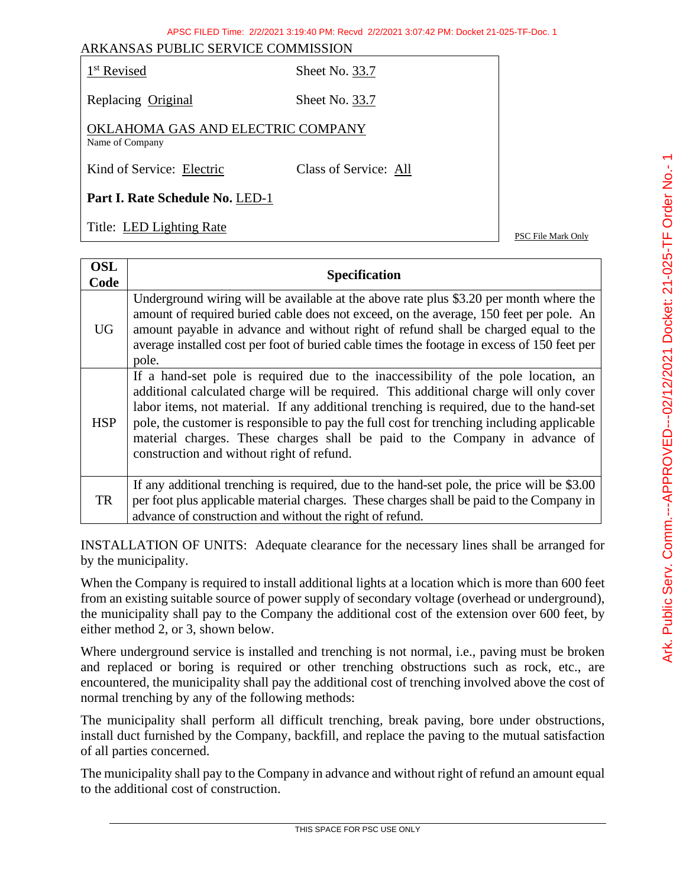| Revised |
|---------|
|---------|

Sheet No. 33.7

Replacing Original Sheet No. 33.7

OKLAHOMA GAS AND ELECTRIC COMPANY Name of Company

Kind of Service: Electric Class of Service: All

**Part I. Rate Schedule No.** LED-1

Title: <u>LED Lighting Rate</u> PSC File Mark Only

| <b>OSL</b><br>Code | <b>Specification</b>                                                                                                                                                                                                                                                                                                                                                                                                                                                                           |
|--------------------|------------------------------------------------------------------------------------------------------------------------------------------------------------------------------------------------------------------------------------------------------------------------------------------------------------------------------------------------------------------------------------------------------------------------------------------------------------------------------------------------|
| <b>UG</b>          | Underground wiring will be available at the above rate plus \$3.20 per month where the<br>amount of required buried cable does not exceed, on the average, 150 feet per pole. An<br>amount payable in advance and without right of refund shall be charged equal to the<br>average installed cost per foot of buried cable times the footage in excess of 150 feet per<br>pole.                                                                                                                |
| <b>HSP</b>         | If a hand-set pole is required due to the inaccessibility of the pole location, an<br>additional calculated charge will be required. This additional charge will only cover<br>labor items, not material. If any additional trenching is required, due to the hand-set<br>pole, the customer is responsible to pay the full cost for trenching including applicable<br>material charges. These charges shall be paid to the Company in advance of<br>construction and without right of refund. |
| TR                 | If any additional trenching is required, due to the hand-set pole, the price will be \$3.00<br>per foot plus applicable material charges. These charges shall be paid to the Company in<br>advance of construction and without the right of refund.                                                                                                                                                                                                                                            |

INSTALLATION OF UNITS: Adequate clearance for the necessary lines shall be arranged for by the municipality.

When the Company is required to install additional lights at a location which is more than 600 feet from an existing suitable source of power supply of secondary voltage (overhead or underground), the municipality shall pay to the Company the additional cost of the extension over 600 feet, by either method 2, or 3, shown below.

Where underground service is installed and trenching is not normal, i.e., paving must be broken and replaced or boring is required or other trenching obstructions such as rock, etc., are encountered, the municipality shall pay the additional cost of trenching involved above the cost of normal trenching by any of the following methods:

The municipality shall perform all difficult trenching, break paving, bore under obstructions, install duct furnished by the Company, backfill, and replace the paving to the mutual satisfaction of all parties concerned.

The municipality shall pay to the Company in advance and without right of refund an amount equal to the additional cost of construction.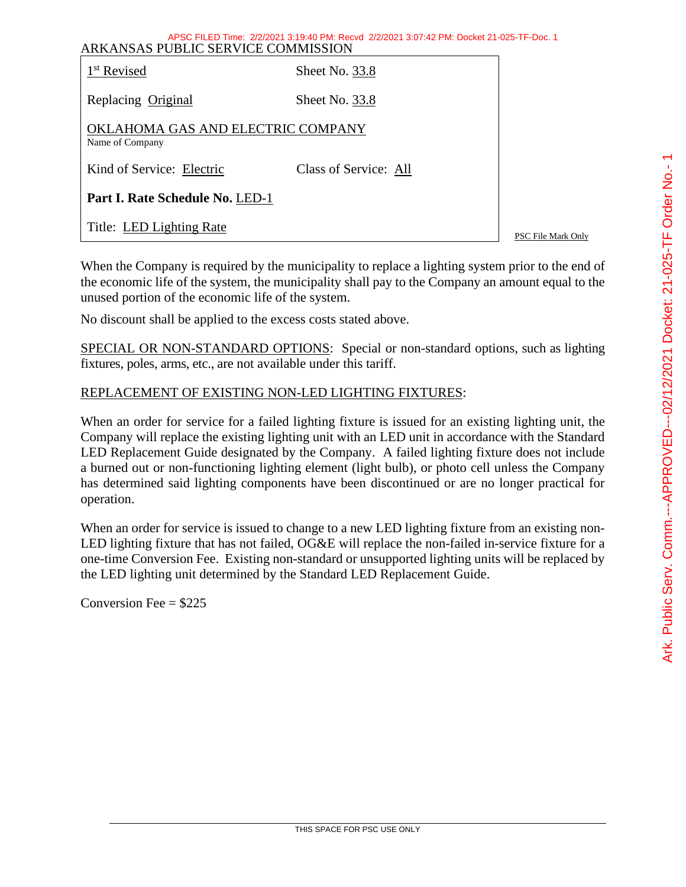| APSU FILED TIME: 2/2/2021 3:19:40 PM: Recvd 2/2/2021 3:07:42 PM: DOCKEt 21-025-TF-DOC. 1<br>ARKANSAS PUBLIC SERVICE COMMISSION |                       |                    |  |  |
|--------------------------------------------------------------------------------------------------------------------------------|-----------------------|--------------------|--|--|
| 1 <sup>st</sup> Revised                                                                                                        | Sheet No. 33.8        |                    |  |  |
| Replacing Original                                                                                                             | Sheet No. 33.8        |                    |  |  |
| OKLAHOMA GAS AND ELECTRIC COMPANY<br>Name of Company                                                                           |                       |                    |  |  |
| Kind of Service: Electric                                                                                                      | Class of Service: All |                    |  |  |
| Part I. Rate Schedule No. LED-1                                                                                                |                       |                    |  |  |
| Title: LED Lighting Rate                                                                                                       |                       | PSC File Mark Only |  |  |

ABSC FILED Time: 2/2/2021 3:10:40 PM: Recyd 2/2/2021 3:07:42 PM: Docket 21-025-

When the Company is required by the municipality to replace a lighting system prior to the end of the economic life of the system, the municipality shall pay to the Company an amount equal to the unused portion of the economic life of the system.

No discount shall be applied to the excess costs stated above.

SPECIAL OR NON-STANDARD OPTIONS: Special or non-standard options, such as lighting fixtures, poles, arms, etc., are not available under this tariff.

## REPLACEMENT OF EXISTING NON-LED LIGHTING FIXTURES:

When an order for service for a failed lighting fixture is issued for an existing lighting unit, the Company will replace the existing lighting unit with an LED unit in accordance with the Standard LED Replacement Guide designated by the Company. A failed lighting fixture does not include a burned out or non-functioning lighting element (light bulb), or photo cell unless the Company has determined said lighting components have been discontinued or are no longer practical for operation.

When an order for service is issued to change to a new LED lighting fixture from an existing non-LED lighting fixture that has not failed, OG&E will replace the non-failed in-service fixture for a one-time Conversion Fee. Existing non-standard or unsupported lighting units will be replaced by the LED lighting unit determined by the Standard LED Replacement Guide.

Conversion Fee  $= $225$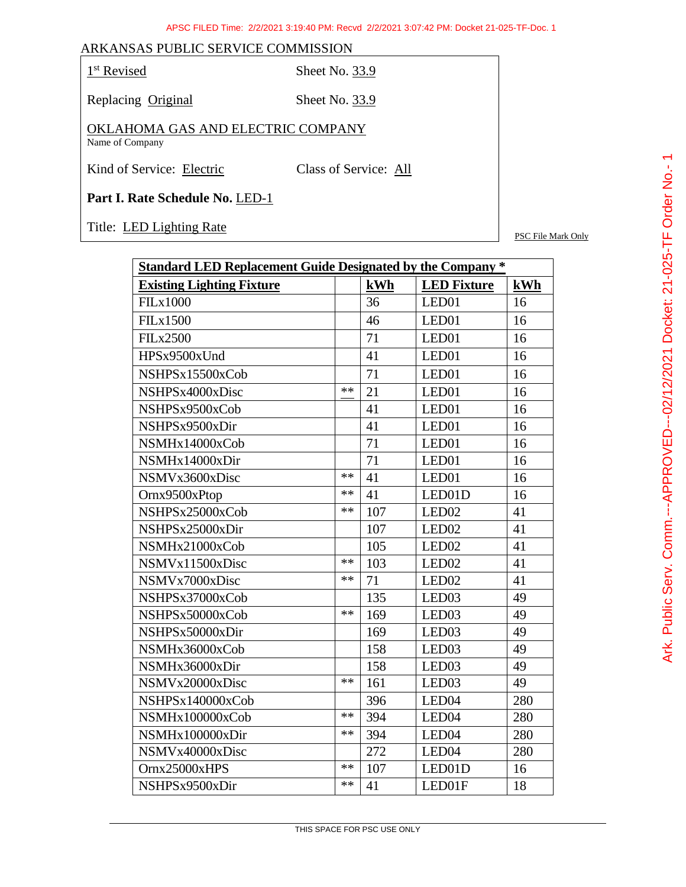1<sup>st</sup> Revised Sheet No. 33.9

Replacing Original Sheet No. 33.9

OKLAHOMA GAS AND ELECTRIC COMPANY Name of Company

Kind of Service: Electric Class of Service: All

**Part I. Rate Schedule No.** LED-1

Title: LED Lighting Rate PSC File Mark Only

| <b>Standard LED Replacement Guide Designated by the Company *</b> |      |     |                    |     |
|-------------------------------------------------------------------|------|-----|--------------------|-----|
| <b>Existing Lighting Fixture</b>                                  |      | kWh | <b>LED Fixture</b> | kWh |
| <b>FILx1000</b>                                                   |      | 36  | LED01              | 16  |
| <b>FILx1500</b>                                                   |      | 46  | LED01              | 16  |
| <b>FILx2500</b>                                                   |      | 71  | LED01              | 16  |
| HPSx9500xUnd                                                      |      | 41  | LED01              | 16  |
| NSHPSx15500xCob                                                   |      | 71  | LED01              | 16  |
| NSHPSx4000xDisc                                                   | **   | 21  | LED01              | 16  |
| NSHPSx9500xCob                                                    |      | 41  | LED01              | 16  |
| NSHPSx9500xDir                                                    |      | 41  | LED01              | 16  |
| NSMHx14000xCob                                                    |      | 71  | LED01              | 16  |
| NSMHx14000xDir                                                    |      | 71  | LED01              | 16  |
| NSMVx3600xDisc                                                    | **   | 41  | LED01              | 16  |
| Ornx9500xPtop                                                     | **   | 41  | LED01D             | 16  |
| NSHPSx25000xCob                                                   | **   | 107 | LED <sub>02</sub>  | 41  |
| NSHPSx25000xDir                                                   |      | 107 | LED <sub>02</sub>  | 41  |
| NSMHx21000xCob                                                    |      | 105 | LED <sub>02</sub>  | 41  |
| NSMVx11500xDisc                                                   | **   | 103 | LED <sub>02</sub>  | 41  |
| NSMVx7000xDisc                                                    | **   | 71  | LED <sub>02</sub>  | 41  |
| NSHPSx37000xCob                                                   |      | 135 | LED <sub>03</sub>  | 49  |
| NSHPSx50000xCob                                                   | $**$ | 169 | LED <sub>03</sub>  | 49  |
| NSHPSx50000xDir                                                   |      | 169 | LED <sub>03</sub>  | 49  |
| NSMHx36000xCob                                                    |      | 158 | LED <sub>03</sub>  | 49  |
| NSMHx36000xDir                                                    |      | 158 | LED <sub>03</sub>  | 49  |
| NSMVx20000xDisc                                                   | **   | 161 | LED <sub>03</sub>  | 49  |
| NSHPSx140000xCob                                                  |      | 396 | LED <sub>04</sub>  | 280 |
| NSMHx100000xCob                                                   | **   | 394 | LED <sub>04</sub>  | 280 |
| NSMHx100000xDir                                                   | **   | 394 | LED <sub>04</sub>  | 280 |
| NSMVx40000xDisc                                                   |      | 272 | LED <sub>04</sub>  | 280 |
| Ornx25000xHPS                                                     | **   | 107 | LED01D             | 16  |
| NSHPSx9500xDir                                                    | **   | 41  | LED01F             | 18  |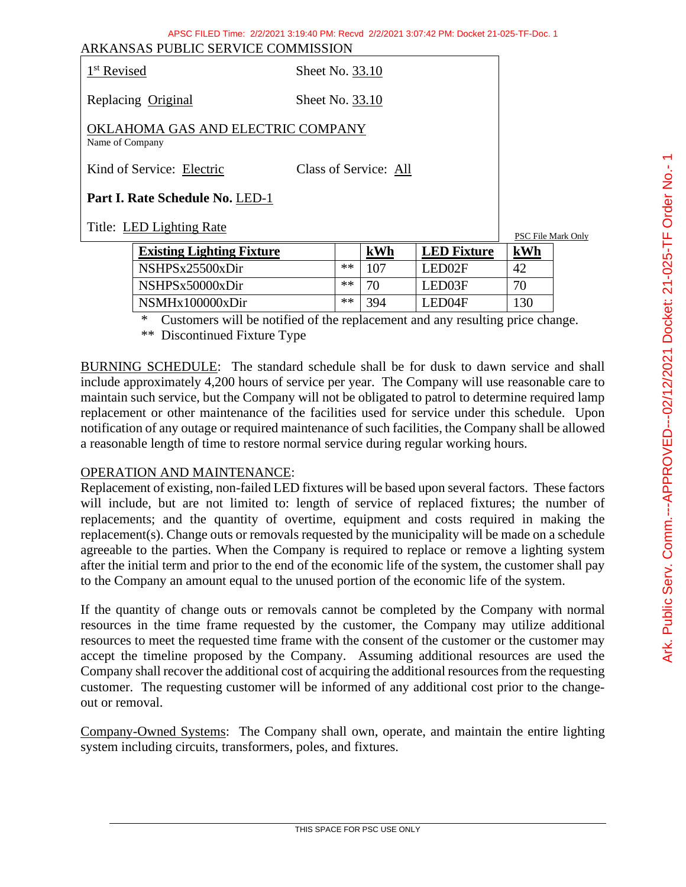| Revised |
|---------|
|         |

Sheet No. 33.10

Replacing Original Sheet No. 33.10

OKLAHOMA GAS AND ELECTRIC COMPANY Name of Company

Kind of Service: Electric Class of Service: All

**Part I. Rate Schedule No.** LED-1

Title: <u>LED Lighting Rate</u> PSC File Mark Only

| <b>Existing Lighting Fixture</b> |    | kWh | <b>LED Fixture</b> | kWh |
|----------------------------------|----|-----|--------------------|-----|
| NSHPSx25500xDir                  | ** | 107 | LED02F             | 42  |
| NSHPSx50000xDir                  | ** | 70  | LED03F             | 70  |
| NSMHx100000xDir                  | ** | 394 | LED04F             | 130 |

\* Customers will be notified of the replacement and any resulting price change.

\*\* Discontinued Fixture Type

BURNING SCHEDULE: The standard schedule shall be for dusk to dawn service and shall include approximately 4,200 hours of service per year. The Company will use reasonable care to maintain such service, but the Company will not be obligated to patrol to determine required lamp replacement or other maintenance of the facilities used for service under this schedule. Upon notification of any outage or required maintenance of such facilities, the Company shall be allowed a reasonable length of time to restore normal service during regular working hours.

## OPERATION AND MAINTENANCE:

Replacement of existing, non-failed LED fixtures will be based upon several factors. These factors will include, but are not limited to: length of service of replaced fixtures; the number of replacements; and the quantity of overtime, equipment and costs required in making the replacement(s). Change outs or removals requested by the municipality will be made on a schedule agreeable to the parties. When the Company is required to replace or remove a lighting system after the initial term and prior to the end of the economic life of the system, the customer shall pay to the Company an amount equal to the unused portion of the economic life of the system.

If the quantity of change outs or removals cannot be completed by the Company with normal resources in the time frame requested by the customer, the Company may utilize additional resources to meet the requested time frame with the consent of the customer or the customer may accept the timeline proposed by the Company. Assuming additional resources are used the Company shall recover the additional cost of acquiring the additional resources from the requesting customer. The requesting customer will be informed of any additional cost prior to the changeout or removal.

Company-Owned Systems: The Company shall own, operate, and maintain the entire lighting system including circuits, transformers, poles, and fixtures.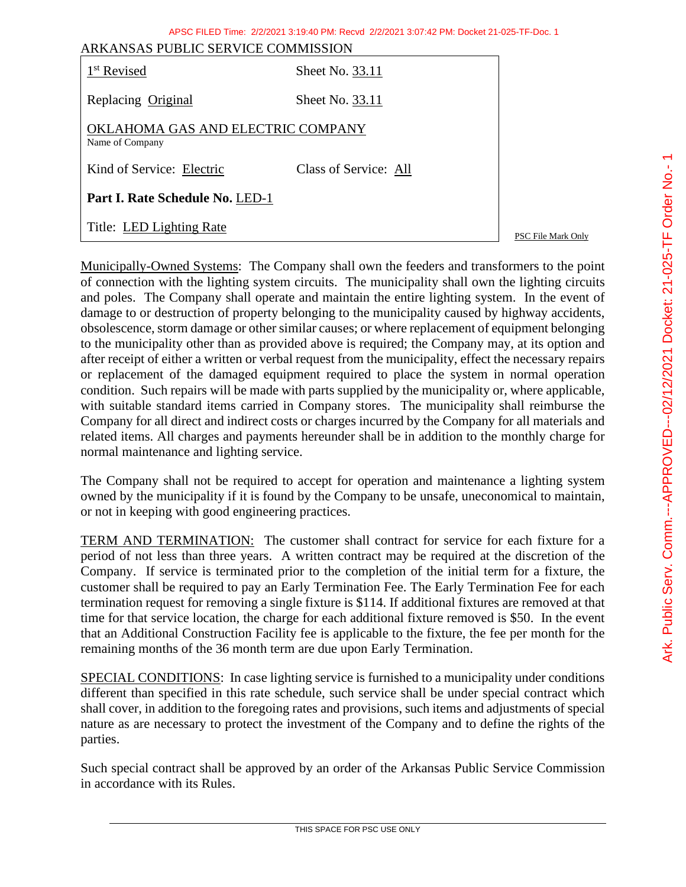|                                                      | APSC FILED Time: 2/2/2021 3:19:40 PM: Recvd 2/2/2021 3:07:42 PM: Docket 21-025-TF-Doc. 1 |                    |  |  |  |
|------------------------------------------------------|------------------------------------------------------------------------------------------|--------------------|--|--|--|
| ARKANSAS PUBLIC SERVICE COMMISSION                   |                                                                                          |                    |  |  |  |
| 1 <sup>st</sup> Revised                              | Sheet No. 33.11                                                                          |                    |  |  |  |
| Replacing Original                                   | Sheet No. 33.11                                                                          |                    |  |  |  |
| OKLAHOMA GAS AND ELECTRIC COMPANY<br>Name of Company |                                                                                          |                    |  |  |  |
| Kind of Service: Electric                            | Class of Service: All                                                                    |                    |  |  |  |
| Part I. Rate Schedule No. LED-1                      |                                                                                          |                    |  |  |  |
| Title: LED Lighting Rate                             |                                                                                          | PSC File Mark Only |  |  |  |

Municipally-Owned Systems: The Company shall own the feeders and transformers to the point of connection with the lighting system circuits. The municipality shall own the lighting circuits and poles. The Company shall operate and maintain the entire lighting system. In the event of damage to or destruction of property belonging to the municipality caused by highway accidents, obsolescence, storm damage or other similar causes; or where replacement of equipment belonging to the municipality other than as provided above is required; the Company may, at its option and after receipt of either a written or verbal request from the municipality, effect the necessary repairs or replacement of the damaged equipment required to place the system in normal operation condition. Such repairs will be made with parts supplied by the municipality or, where applicable, with suitable standard items carried in Company stores. The municipality shall reimburse the Company for all direct and indirect costs or charges incurred by the Company for all materials and related items. All charges and payments hereunder shall be in addition to the monthly charge for normal maintenance and lighting service.

The Company shall not be required to accept for operation and maintenance a lighting system owned by the municipality if it is found by the Company to be unsafe, uneconomical to maintain, or not in keeping with good engineering practices.

TERM AND TERMINATION: The customer shall contract for service for each fixture for a period of not less than three years. A written contract may be required at the discretion of the Company. If service is terminated prior to the completion of the initial term for a fixture, the customer shall be required to pay an Early Termination Fee. The Early Termination Fee for each termination request for removing a single fixture is \$114. If additional fixtures are removed at that time for that service location, the charge for each additional fixture removed is \$50. In the event that an Additional Construction Facility fee is applicable to the fixture, the fee per month for the remaining months of the 36 month term are due upon Early Termination.

SPECIAL CONDITIONS: In case lighting service is furnished to a municipality under conditions different than specified in this rate schedule, such service shall be under special contract which shall cover, in addition to the foregoing rates and provisions, such items and adjustments of special nature as are necessary to protect the investment of the Company and to define the rights of the parties.

Such special contract shall be approved by an order of the Arkansas Public Service Commission in accordance with its Rules.